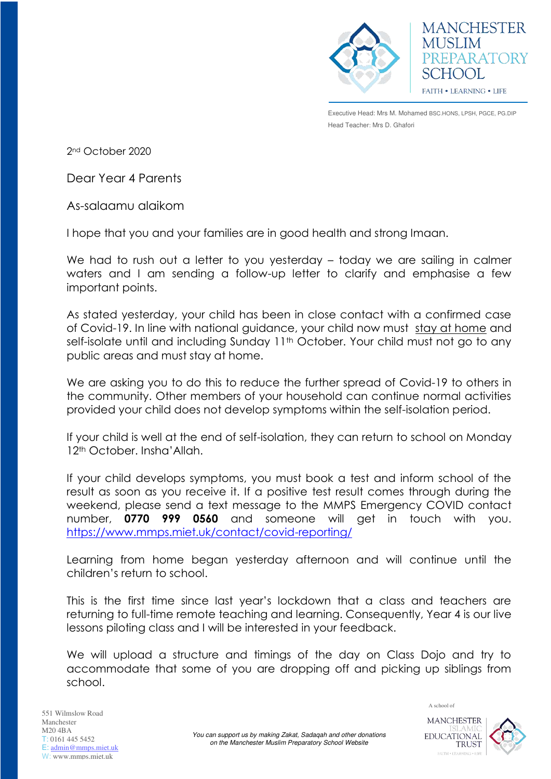

**MANCHESTER MUSLIM** PREPARATORY SCHOOL **FAITH • LEARNING • LIFE** 

Executive Head: Mrs M. Mohamed BSC.HONS, LPSH, PGCE, PG.DIP Head Teacher: Mrs D. Ghafori

2nd October 2020

Dear Year 4 Parents

As-salaamu alaikom

I hope that you and your families are in good health and strong Imaan.

We had to rush out a letter to you yesterday – today we are sailing in calmer waters and I am sending a follow-up letter to clarify and emphasise a few important points.

As stated yesterday, your child has been in close contact with a confirmed case of Covid-19. In line with national guidance, your child now must stay at home and self-isolate until and including Sunday 11<sup>th</sup> October. Your child must not go to any public areas and must stay at home.

We are asking you to do this to reduce the further spread of Covid-19 to others in the community. Other members of your household can continue normal activities provided your child does not develop symptoms within the self-isolation period.

If your child is well at the end of self-isolation, they can return to school on Monday 12<sup>th</sup> October. Insha'Allah.

If your child develops symptoms, you must book a test and inform school of the result as soon as you receive it. If a positive test result comes through during the weekend, please send a text message to the MMPS Emergency COVID contact number, **0770 999 0560** and someone will get in touch with you. <https://www.mmps.miet.uk/contact/covid-reporting/>

Learning from home began yesterday afternoon and will continue until the children's return to school.

This is the first time since last year's lockdown that a class and teachers are returning to full-time remote teaching and learning. Consequently, Year 4 is our live lessons piloting class and I will be interested in your feedback.

We will upload a structure and timings of the day on Class Dojo and try to accommodate that some of you are dropping off and picking up siblings from school.



A school of